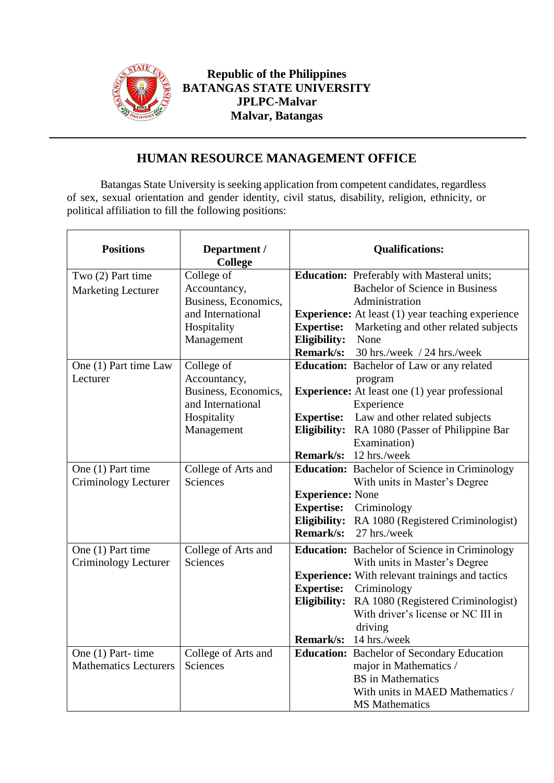

## **Republic of the Philippines BATANGAS STATE UNIVERSITY JPLPC-Malvar Malvar, Batangas**

## **HUMAN RESOURCE MANAGEMENT OFFICE**

Batangas State University is seeking application from competent candidates, regardless of sex, sexual orientation and gender identity, civil status, disability, religion, ethnicity, or political affiliation to fill the following positions:

| <b>Positions</b>             | Department /<br><b>College</b> | <b>Qualifications:</b>                                    |
|------------------------------|--------------------------------|-----------------------------------------------------------|
| Two (2) Part time            | College of                     | <b>Education:</b> Preferably with Masteral units;         |
| <b>Marketing Lecturer</b>    | Accountancy,                   | <b>Bachelor of Science in Business</b>                    |
|                              | Business, Economics,           | Administration                                            |
|                              | and International              | <b>Experience:</b> At least (1) year teaching experience  |
|                              | Hospitality                    | <b>Expertise:</b><br>Marketing and other related subjects |
|                              | Management                     | Eligibility:<br>None                                      |
|                              |                                | Remark/s: 30 hrs./week / 24 hrs./week                     |
| One (1) Part time Law        | College of                     | <b>Education:</b> Bachelor of Law or any related          |
| Lecturer                     | Accountancy,                   | program                                                   |
|                              | Business, Economics,           | <b>Experience:</b> At least one (1) year professional     |
|                              | and International              | Experience                                                |
|                              | Hospitality                    | <b>Expertise:</b><br>Law and other related subjects       |
|                              | Management                     | Eligibility: RA 1080 (Passer of Philippine Bar            |
|                              |                                | Examination)                                              |
|                              |                                | Remark/s: 12 hrs./week                                    |
| One (1) Part time            | College of Arts and            | Education: Bachelor of Science in Criminology             |
| Criminology Lecturer         | <b>Sciences</b>                | With units in Master's Degree                             |
|                              |                                | <b>Experience: None</b>                                   |
|                              |                                | <b>Expertise:</b><br>Criminology                          |
|                              |                                | Eligibility: RA 1080 (Registered Criminologist)           |
|                              |                                | Remark/s:<br>27 hrs./week                                 |
| One (1) Part time            | College of Arts and            | <b>Education:</b> Bachelor of Science in Criminology      |
| Criminology Lecturer         | <b>Sciences</b>                | With units in Master's Degree                             |
|                              |                                | <b>Experience:</b> With relevant trainings and tactics    |
|                              |                                | <b>Expertise:</b><br>Criminology                          |
|                              |                                | Eligibility:<br>RA 1080 (Registered Criminologist)        |
|                              |                                | With driver's license or NC III in                        |
|                              |                                | driving                                                   |
|                              |                                | <b>Remark/s:</b><br>14 hrs./week                          |
| One (1) Part-time            | College of Arts and            | <b>Education:</b> Bachelor of Secondary Education         |
| <b>Mathematics Lecturers</b> | Sciences                       | major in Mathematics /                                    |
|                              |                                | <b>BS</b> in Mathematics                                  |
|                              |                                | With units in MAED Mathematics /                          |
|                              |                                | <b>MS</b> Mathematics                                     |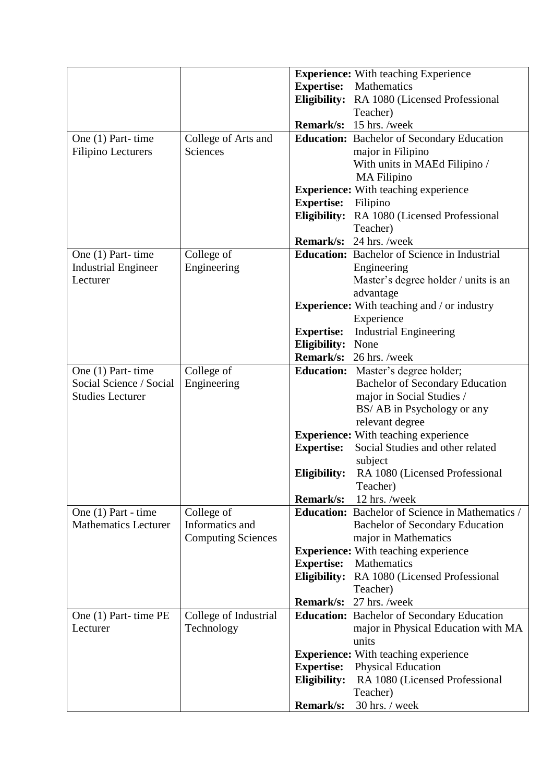|                             |                           |                   | <b>Experience:</b> With teaching Experience            |
|-----------------------------|---------------------------|-------------------|--------------------------------------------------------|
|                             |                           | <b>Expertise:</b> | Mathematics                                            |
|                             |                           |                   | Eligibility: RA 1080 (Licensed Professional            |
|                             |                           |                   | Teacher)                                               |
|                             |                           |                   | <b>Remark/s:</b> 15 hrs. /week                         |
| One (1) Part-time           | College of Arts and       |                   | <b>Education:</b> Bachelor of Secondary Education      |
| <b>Filipino Lecturers</b>   | Sciences                  |                   | major in Filipino                                      |
|                             |                           |                   | With units in MAEd Filipino /                          |
|                             |                           |                   | <b>MA</b> Filipino                                     |
|                             |                           |                   | <b>Experience:</b> With teaching experience            |
|                             |                           | <b>Expertise:</b> | Filipino                                               |
|                             |                           |                   |                                                        |
|                             |                           |                   | Eligibility: RA 1080 (Licensed Professional            |
|                             |                           |                   | Teacher)                                               |
|                             |                           |                   | <b>Remark/s:</b> 24 hrs. /week                         |
| One (1) Part-time           | College of                |                   | <b>Education:</b> Bachelor of Science in Industrial    |
| <b>Industrial Engineer</b>  | Engineering               |                   | Engineering                                            |
| Lecturer                    |                           |                   | Master's degree holder / units is an                   |
|                             |                           |                   | advantage                                              |
|                             |                           |                   | <b>Experience:</b> With teaching and / or industry     |
|                             |                           |                   | Experience                                             |
|                             |                           | <b>Expertise:</b> | <b>Industrial Engineering</b>                          |
|                             |                           | Eligibility:      | None                                                   |
|                             |                           |                   | <b>Remark/s:</b> 26 hrs. /week                         |
| One (1) Part-time           | College of                |                   | <b>Education:</b> Master's degree holder;              |
| Social Science / Social     | Engineering               |                   | <b>Bachelor of Secondary Education</b>                 |
| <b>Studies Lecturer</b>     |                           |                   | major in Social Studies /                              |
|                             |                           |                   | BS/ AB in Psychology or any                            |
|                             |                           |                   | relevant degree                                        |
|                             |                           |                   | <b>Experience:</b> With teaching experience            |
|                             |                           | <b>Expertise:</b> | Social Studies and other related                       |
|                             |                           |                   | subject                                                |
|                             |                           | Eligibility:      | RA 1080 (Licensed Professional                         |
|                             |                           |                   | Teacher)                                               |
|                             |                           | Remark/s:         | 12 hrs. /week                                          |
| One (1) Part - time         | College of                |                   | <b>Education:</b> Bachelor of Science in Mathematics / |
| <b>Mathematics Lecturer</b> | Informatics and           |                   | <b>Bachelor of Secondary Education</b>                 |
|                             | <b>Computing Sciences</b> |                   | major in Mathematics                                   |
|                             |                           |                   | <b>Experience:</b> With teaching experience            |
|                             |                           | <b>Expertise:</b> | Mathematics                                            |
|                             |                           |                   |                                                        |
|                             |                           |                   | Eligibility: RA 1080 (Licensed Professional            |
|                             |                           |                   | Teacher)                                               |
|                             |                           |                   | <b>Remark/s:</b> 27 hrs. /week                         |
| One (1) Part-time PE        | College of Industrial     |                   | <b>Education:</b> Bachelor of Secondary Education      |
| Lecturer                    | Technology                |                   | major in Physical Education with MA                    |
|                             |                           |                   | units                                                  |
|                             |                           |                   | <b>Experience:</b> With teaching experience            |
|                             |                           | <b>Expertise:</b> | <b>Physical Education</b>                              |
|                             |                           | Eligibility:      | RA 1080 (Licensed Professional                         |
|                             |                           |                   | Teacher)                                               |
|                             |                           | <b>Remark/s:</b>  | 30 hrs. / week                                         |